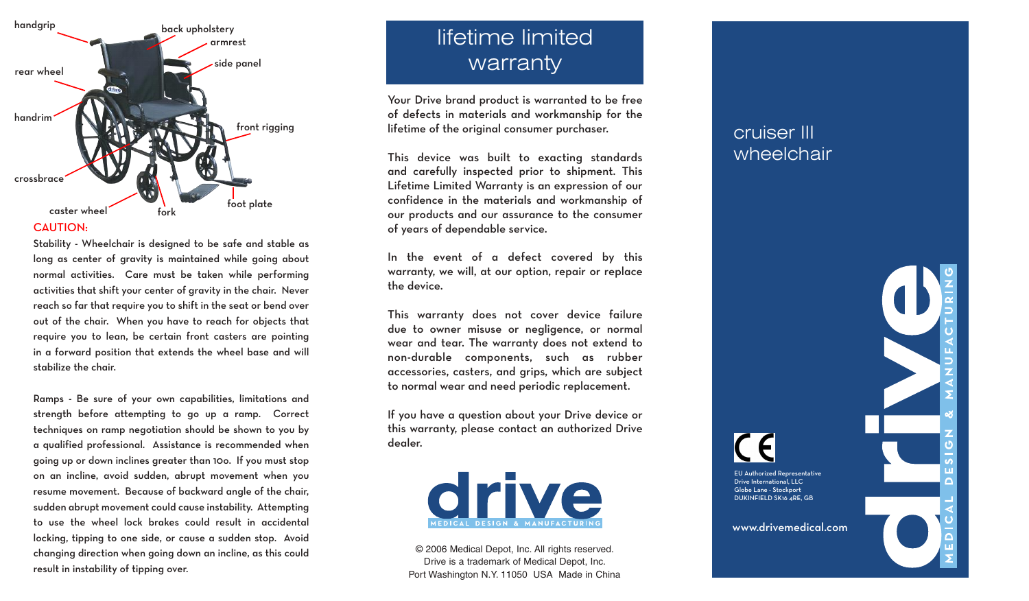

# CAUTION:

Stability - Wheelchair is designed to be safe and stable as long as center of gravity is maintained while going about normal activities. Care must be taken while performing activities that shift your center of gravity in the chair. Never reach so far that require you to shift in the seat or bend over out of the chair. When you have to reach for objects that require you to lean, be certain front casters are pointing in a forward position that extends the wheel base and will stabilize the chair.

Ramps - Be sure of your own capabilities, limitations and strength before attempting to go up a ramp. Correct techniques on ramp negotiation should be shown to you by a qualified professional. Assistance is recommended when going up or down inclines greater than 10o. If you must stop on an incline, avoid sudden, abrupt movement when you resume movement. Because of backward angle of the chair, sudden abrupt movement could cause instability. Attempting to use the wheel lock brakes could result in accidental locking, tipping to one side, or cause a sudden stop. Avoid changing direction when going down an incline, as this could result in instability of tipping over.

# lifetime limited warranty

Your Drive brand product is warranted to be free of defects in materials and workmanship for the lifetime of the original consumer purchaser.

This device was built to exacting standards and carefully inspected prior to shipment. This Lifetime Limited Warranty is an expression of our confidence in the materials and workmanship of our products and our assurance to the consumer of years of dependable service.

In the event of a defect covered by this warranty, we will, at our option, repair or replace the device.

This warranty does not cover device failure due to owner misuse or negligence, or normal wear and tear. The warranty does not extend to non-durable components, such as rubber accessories, casters, and grips, which are subject to normal wear and need periodic replacement.

If you have a question about your Drive device or this warranty, please contact an authorized Drive dealer.



© 2006 Medical Depot, Inc. All rights reserved. Drive is a trademark of Medical Depot, Inc. Port Washington N.Y. 11050 USA Made in China

# cruiser III wheelchair

 $\overline{C}$ orized Representative

Drive International, LLC Globe Lane - Stockport DUKINFIELD SK16 4RE, GB

www.drivemedical.com